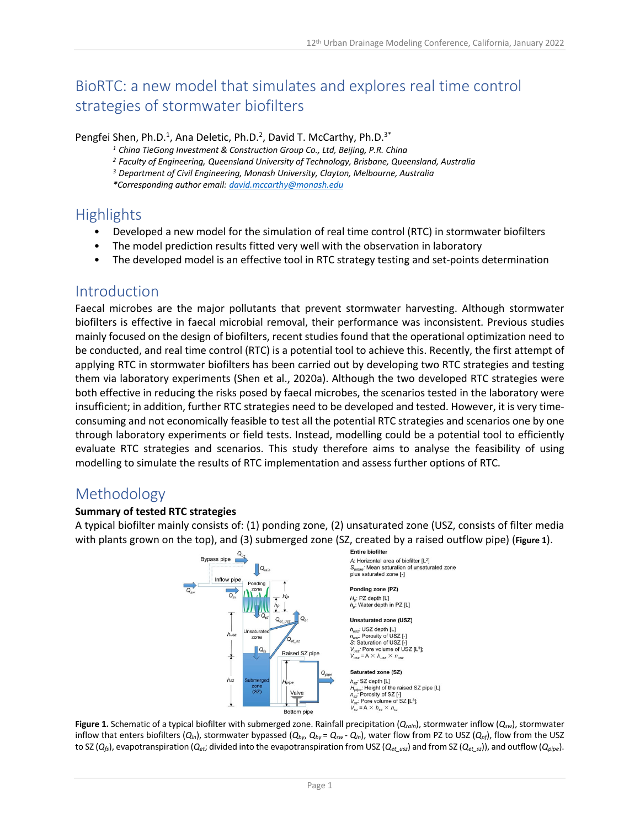# BioRTC: a new model that simulates and explores real time control strategies of stormwater biofilters

#### Pengfei Shen, Ph.D.<sup>1</sup>, Ana Deletic, Ph.D.<sup>2</sup>, David T. McCarthy, Ph.D.<sup>3\*</sup>

<sup>1</sup> China TieGong Investment & Construction Group Co., Ltd, Beijing, P.R. China<br><sup>2</sup> Faculty of Engineering, Queensland University of Technology, Brisbane, Queensland, Australia

*<sup>3</sup> Department of Civil Engineering, Monash University, Clayton, Melbourne, Australia*

*\*Corresponding author email: david.mccarthy@monash.edu*

# **Highlights**

- Developed a new model for the simulation of real time control (RTC) in stormwater biofilters
- The model prediction results fitted very well with the observation in laboratory
- The developed model is an effective tool in RTC strategy testing and set-points determination

### Introduction

Faecal microbes are the major pollutants that prevent stormwater harvesting. Although stormwater biofilters is effective in faecal microbial removal, their performance was inconsistent. Previous studies mainly focused on the design of biofilters, recent studies found that the operational optimization need to be conducted, and real time control (RTC) is a potential tool to achieve this. Recently, the first attempt of applying RTC in stormwater biofilters has been carried out by developing two RTC strategies and testing them via laboratory experiments (Shen et al., 2020a). Although the two developed RTC strategies were both effective in reducing the risks posed by faecal microbes, the scenarios tested in the laboratory were insufficient; in addition, further RTC strategies need to be developed and tested. However, it is very timeconsuming and not economically feasible to test all the potential RTC strategies and scenarios one by one through laboratory experiments or field tests. Instead, modelling could be a potential tool to efficiently evaluate RTC strategies and scenarios. This study therefore aims to analyse the feasibility of using modelling to simulate the results of RTC implementation and assess further options of RTC.

# Methodology

### **Summary of tested RTC strategies**

A typical biofilter mainly consists of: (1) ponding zone, (2) unsaturated zone (USZ, consists of filter media with plants grown on the top), and (3) submerged zone (SZ, created by a raised outflow pipe) (**Figure 1**).



**Figure 1.** Schematic of a typical biofilter with submerged zone. Rainfall precipitation (*Qrain*), stormwater inflow (*Qsw*), stormwater inflow that enters biofilters  $(Q_{in})$ , stormwater bypassed  $(Q_{by}$ ,  $Q_{by} = Q_{sw}$  -  $Q_{in}$ ), water flow from PZ to USZ  $(Q_{pf})$ , flow from the USZ to SZ ( $Q_{fs}$ ), evapotranspiration ( $Q_{et}$ ; divided into the evapotranspiration from USZ ( $Q_{et\_usz}$ ) and from SZ ( $Q_{et\_sz}$ )), and outflow ( $Q_{pipe}$ ).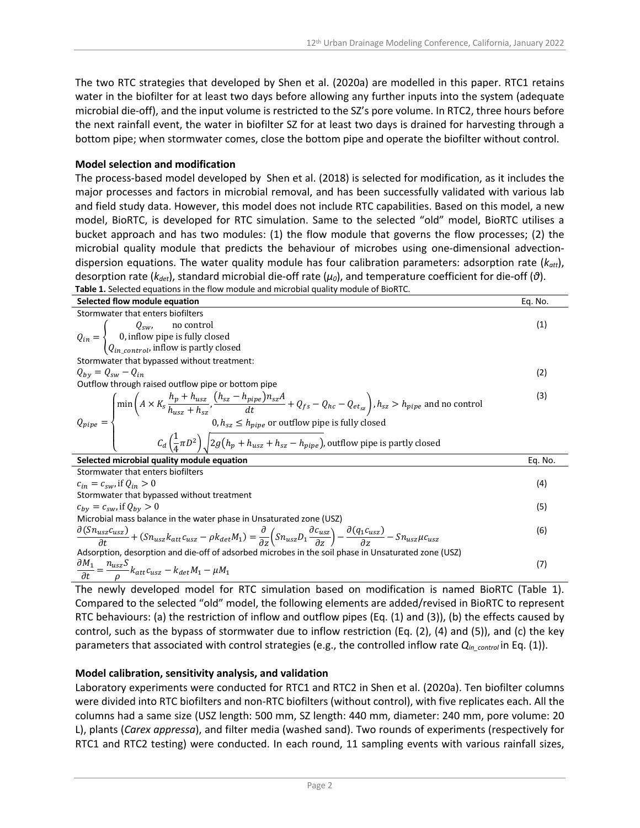The two RTC strategies that developed by Shen et al. (2020a) are modelled in this paper. RTC1 retains water in the biofilter for at least two days before allowing any further inputs into the system (adequate microbial die-off), and the input volume is restricted to the SZ's pore volume. In RTC2, three hours before the next rainfall event, the water in biofilter SZ for at least two days is drained for harvesting through a bottom pipe; when stormwater comes, close the bottom pipe and operate the biofilter without control.

#### **Model selection and modification**

The process-based model developed by Shen et al. (2018) is selected for modification, as it includes the major processes and factors in microbial removal, and has been successfully validated with various lab and field study data. However, this model does not include RTC capabilities. Based on this model, a new model, BioRTC, is developed for RTC simulation. Same to the selected "old" model, BioRTC utilises a bucket approach and has two modules: (1) the flow module that governs the flow processes; (2) the microbial quality module that predicts the behaviour of microbes using one-dimensional advectiondispersion equations. The water quality module has four calibration parameters: adsorption rate (*katt*), desorption rate (*kdet*), standard microbial die-off rate (*μ0*), and temperature coefficient for die-off (*θ*). **Table 1.** Selected equations in the flow module and microbial quality module of BioRTC.

| Selected flow module equation                                                                                                                                                                                                                                                                                                                                                                                                     | Eq. No. |
|-----------------------------------------------------------------------------------------------------------------------------------------------------------------------------------------------------------------------------------------------------------------------------------------------------------------------------------------------------------------------------------------------------------------------------------|---------|
| Stormwater that enters biofilters                                                                                                                                                                                                                                                                                                                                                                                                 |         |
|                                                                                                                                                                                                                                                                                                                                                                                                                                   | (1)     |
|                                                                                                                                                                                                                                                                                                                                                                                                                                   |         |
| $Q_{in} = \begin{cases} Q_{sw}, & \text{no control} \\ 0, \text{inflow pipe is fully closed} \\ Q_{in\_control}, \text{inflow is partly closed} \end{cases}$                                                                                                                                                                                                                                                                      |         |
| Stormwater that bypassed without treatment:                                                                                                                                                                                                                                                                                                                                                                                       |         |
| $Q_{by} = Q_{sw} - Q_{in}$                                                                                                                                                                                                                                                                                                                                                                                                        | (2)     |
| Outflow through raised outflow pipe or bottom pipe                                                                                                                                                                                                                                                                                                                                                                                |         |
| $Q_{pipe} = \begin{cases} \min\left(A \times K_s \frac{h_p + h_{uss}}{h_{uss} + h_{sz}} , \frac{(h_{sz} - h_{pipe})n_{sz}A}{dt} + Q_{fs} - Q_{hc} - Q_{ets} \right), h_{sz} > h_{pipe} \text{ and no control} \\ 0, h_{sz} \le h_{pipe} \text{ or outflow pipe is fully closed} \\ C_d \left(\frac{1}{4}\pi D^2\right) \sqrt{2g\left(h_p + h_{uss} + h_{sz} - h_{pipe}\right)}, \text{outflow pipe is partly closed} \end{cases}$ | (3)     |
|                                                                                                                                                                                                                                                                                                                                                                                                                                   |         |
|                                                                                                                                                                                                                                                                                                                                                                                                                                   |         |
| Selected microbial quality module equation                                                                                                                                                                                                                                                                                                                                                                                        | Eq. No. |
| Stormwater that enters biofilters                                                                                                                                                                                                                                                                                                                                                                                                 |         |
| $c_{in} = c_{sw}$ , if $Q_{in} > 0$                                                                                                                                                                                                                                                                                                                                                                                               | (4)     |
| Stormwater that bypassed without treatment                                                                                                                                                                                                                                                                                                                                                                                        |         |
| $c_{by} = c_{sw}$ , if $Q_{by} > 0$                                                                                                                                                                                                                                                                                                                                                                                               | (5)     |
| Microbial mass balance in the water phase in Unsaturated zone (USZ)                                                                                                                                                                                                                                                                                                                                                               |         |
| $\frac{\partial (Sn_{usz}c_{usz}}{\partial t} + (Sn_{usz}k_{att}c_{usz} - \rho k_{det}M_1) = \frac{\partial}{\partial z}\left( Sn_{usz}D_1 \frac{\partial c_{usz}}{\partial z} \right) - \frac{\partial (q_1c_{usz}}{\partial z} - Sn_{usz}\mu c_{usz}$                                                                                                                                                                           | (6)     |
| Adsorption, desorption and die-off of adsorbed microbes in the soil phase in Unsaturated zone (USZ)                                                                                                                                                                                                                                                                                                                               |         |
| $\frac{\partial M_1}{\partial t} = \frac{n_{usz}S}{\rho} k_{att}c_{usz} - k_{det}M_1 - \mu M_1$                                                                                                                                                                                                                                                                                                                                   | (7)     |

The newly developed model for RTC simulation based on modification is named BioRTC (Table 1). Compared to the selected "old" model, the following elements are added/revised in BioRTC to represent RTC behaviours: (a) the restriction of inflow and outflow pipes (Eq. (1) and (3)), (b) the effects caused by control, such as the bypass of stormwater due to inflow restriction (Eq. (2), (4) and (5)), and (c) the key parameters that associated with control strategies (e.g., the controlled inflow rate *Qin\_control* in Eq. (1)).

#### **Model calibration, sensitivity analysis, and validation**

Laboratory experiments were conducted for RTC1 and RTC2 in Shen et al. (2020a). Ten biofilter columns were divided into RTC biofilters and non-RTC biofilters (without control), with five replicates each. All the columns had a same size (USZ length: 500 mm, SZ length: 440 mm, diameter: 240 mm, pore volume: 20 L), plants (*Carex appressa*), and filter media (washed sand). Two rounds of experiments (respectively for RTC1 and RTC2 testing) were conducted. In each round, 11 sampling events with various rainfall sizes,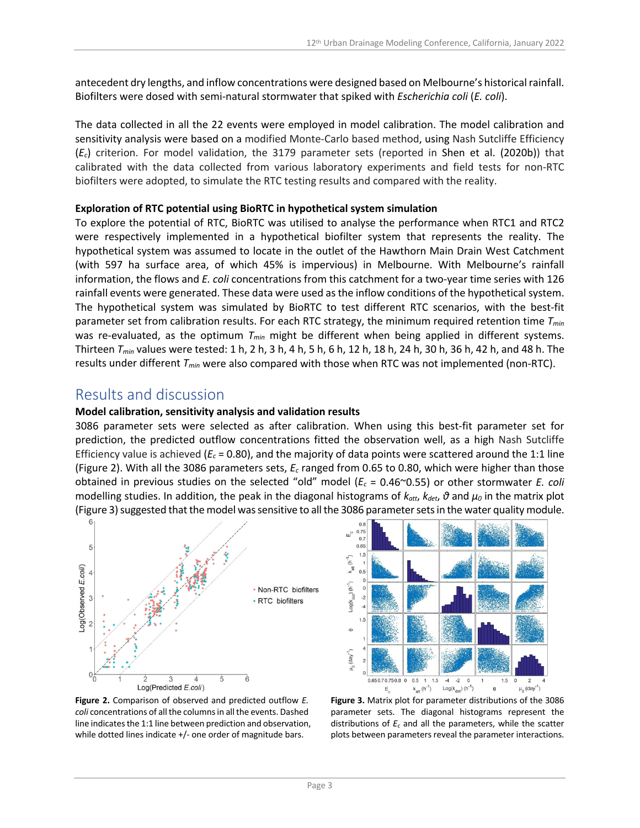antecedent dry lengths, and inflow concentrations were designed based on Melbourne's historical rainfall. Biofilters were dosed with semi-natural stormwater that spiked with *Escherichia coli* (*E. coli*).

The data collected in all the 22 events were employed in model calibration. The model calibration and sensitivity analysis were based on a modified Monte-Carlo based method, using Nash Sutcliffe Efficiency (*Ec*) criterion. For model validation, the 3179 parameter sets (reported in Shen et al. (2020b)) that calibrated with the data collected from various laboratory experiments and field tests for non-RTC biofilters were adopted, to simulate the RTC testing results and compared with the reality.

### **Exploration of RTC potential using BioRTC in hypothetical system simulation**

To explore the potential of RTC, BioRTC was utilised to analyse the performance when RTC1 and RTC2 were respectively implemented in a hypothetical biofilter system that represents the reality. The hypothetical system was assumed to locate in the outlet of the Hawthorn Main Drain West Catchment (with 597 ha surface area, of which 45% is impervious) in Melbourne. With Melbourne's rainfall information, the flows and *E. coli* concentrations from this catchment for a two-year time series with 126 rainfall events were generated. These data were used as the inflow conditions of the hypothetical system. The hypothetical system was simulated by BioRTC to test different RTC scenarios, with the best-fit parameter set from calibration results. For each RTC strategy, the minimum required retention time *Tmin* was re-evaluated, as the optimum  $T_{min}$  might be different when being applied in different systems. Thirteen *Tmin* values were tested: 1 h, 2 h, 3 h, 4 h, 5 h, 6 h, 12 h, 18 h, 24 h, 30 h, 36 h, 42 h, and 48 h. The results under different *Tmin* were also compared with those when RTC was not implemented (non-RTC).

### Results and discussion

### **Model calibration, sensitivity analysis and validation results**

3086 parameter sets were selected as after calibration. When using this best-fit parameter set for prediction, the predicted outflow concentrations fitted the observation well, as a high Nash Sutcliffe Efficiency value is achieved ( $E_c$  = 0.80), and the majority of data points were scattered around the 1:1 line (Figure 2). With all the 3086 parameters sets, *Ec* ranged from 0.65 to 0.80, which were higher than those obtained in previous studies on the selected "old" model (*Ec* = 0.46~0.55) or other stormwater *E. coli* modelling studies. In addition, the peak in the diagonal histograms of  $k_{att}$ ,  $k_{det}$ ,  $\vartheta$  and  $\mu_0$  in the matrix plot (Figure 3) suggested that the model was sensitive to all the 3086 parameter sets in the water quality module.





**Figure 2.** Comparison of observed and predicted outflow *E. coli* concentrations of all the columns in all the events. Dashed line indicates the 1:1 line between prediction and observation, while dotted lines indicate +/- one order of magnitude bars.

**Figure 3.** Matrix plot for parameter distributions of the 3086 parameter sets. The diagonal histograms represent the distributions of *Ec* and all the parameters, while the scatter plots between parameters reveal the parameter interactions.